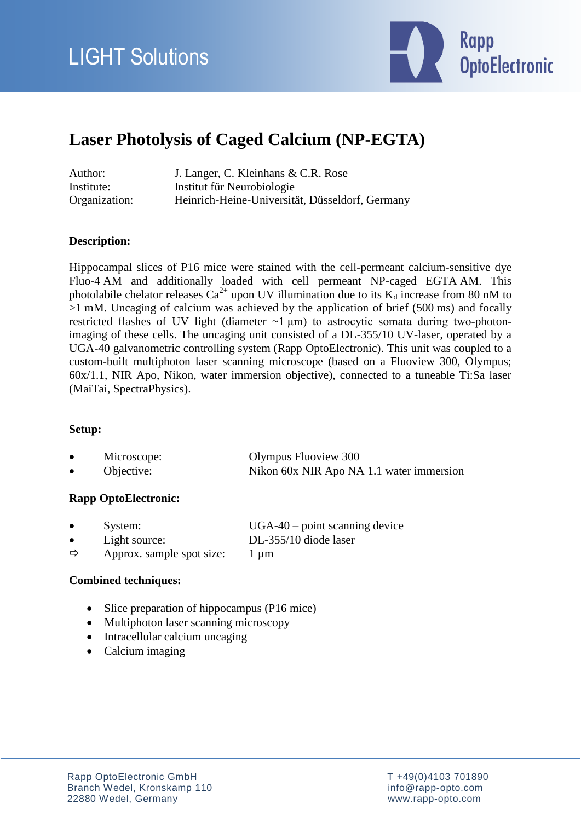

## **Laser Photolysis of Caged Calcium (NP-EGTA)**

| Author:       | J. Langer, C. Kleinhans & C.R. Rose             |
|---------------|-------------------------------------------------|
| Institute:    | Institut für Neurobiologie                      |
| Organization: | Heinrich-Heine-Universität, Düsseldorf, Germany |

### **Description:**

Hippocampal slices of P16 mice were stained with the cell-permeant calcium-sensitive dye Fluo-4 AM and additionally loaded with cell permeant NP-caged EGTA AM. This photolabile chelator releases  $Ca^{2+}$  upon UV illumination due to its  $K_d$  increase from 80 nM to >1 mM. Uncaging of calcium was achieved by the application of brief (500 ms) and focally restricted flashes of UV light (diameter  $\sim$ 1 µm) to astrocytic somata during two-photonimaging of these cells. The uncaging unit consisted of a DL-355/10 UV-laser, operated by a UGA-40 galvanometric controlling system (Rapp OptoElectronic). This unit was coupled to a custom-built multiphoton laser scanning microscope (based on a Fluoview 300, Olympus; 60x/1.1, NIR Apo, Nikon, water immersion objective), connected to a tuneable Ti:Sa laser (MaiTai, SpectraPhysics).

#### **Setup:**

| Microscope: | Olympus Fluoview 300                     |
|-------------|------------------------------------------|
| Objective:  | Nikon 60x NIR Apo NA 1.1 water immersion |

#### **Rapp OptoElectronic:**

| System:       | $UGA-40$ – point scanning device |
|---------------|----------------------------------|
| Light source: | DL-355/10 diode laser            |

 $\Rightarrow$  Approx. sample spot size: 1 µm

#### **Combined techniques:**

- Slice preparation of hippocampus (P16 mice)
- Multiphoton laser scanning microscopy
- Intracellular calcium uncaging
- Calcium imaging